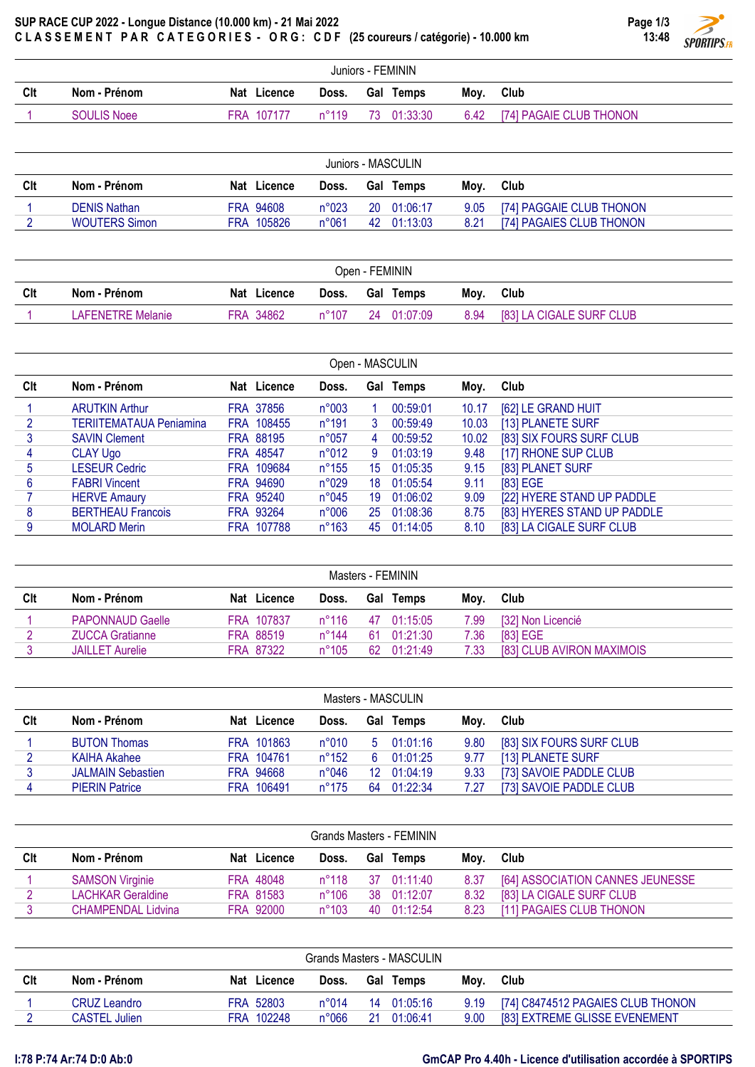## SUP RACE CUP 2022 - Longue Distance (10.000 km) - 21 Mai 2022 CLASSEMENT PAR CATEGORIES - ORG: CDF (25 coureurs / catégorie) - 10.000 km

| Page 1/3 |                               |
|----------|-------------------------------|
| 13:48    |                               |
|          | <b>SPORTIPS</b> <sub>FR</sub> |
|          |                               |

|     | Juniors - FEMININ |             |       |                 |  |                              |  |  |  |  |  |
|-----|-------------------|-------------|-------|-----------------|--|------------------------------|--|--|--|--|--|
| Clt | Nom - Prénom      | Nat Licence |       | Doss. Gal Temps |  | Mov. Club                    |  |  |  |  |  |
|     | SOULIS Noee       | FRA 107177  | n°119 | 73 01:33:30     |  | 6.42 [74] PAGAIE CLUB THONON |  |  |  |  |  |

| Juniors - MASCULIN |                      |                |                |    |                  |      |                          |  |  |  |
|--------------------|----------------------|----------------|----------------|----|------------------|------|--------------------------|--|--|--|
| Clt                | Nom - Prénom         | Licence<br>Nat | Doss.          |    | <b>Gal Temps</b> | Mov. | Club                     |  |  |  |
|                    | <b>DENIS Nathan</b>  | FRA 94608      | n°023          |    | 20 01:06:17      | 9.05 | [74] PAGGAIE CLUB THONON |  |  |  |
|                    | <b>WOUTERS Simon</b> | FRA 105826     | $n^{\circ}061$ | 42 | 01:13:03         | 8.21 | [74] PAGAIES CLUB THONON |  |  |  |

| Open - FEMININ |                   |  |             |                |  |             |      |                          |  |  |
|----------------|-------------------|--|-------------|----------------|--|-------------|------|--------------------------|--|--|
| Clt            | Nom - Prénom      |  | Nat Licence | Doss.          |  | Gal Temps   | Mov. | Club                     |  |  |
|                | LAFENETRE Melanie |  | FRA 34862   | $n^{\circ}107$ |  | 24 01:07:09 | 8.94 | [83] LA CIGALE SURF CLUB |  |  |

| Open - MASCULIN |                                |  |             |                |    |             |       |                             |  |  |  |
|-----------------|--------------------------------|--|-------------|----------------|----|-------------|-------|-----------------------------|--|--|--|
| Clt             | Nom - Prénom                   |  | Nat Licence | Doss.          |    | Gal Temps   | Moy.  | Club                        |  |  |  |
|                 | <b>ARUTKIN Arthur</b>          |  | FRA 37856   | n°003          |    | 00:59:01    | 10.17 | [62] LE GRAND HUIT          |  |  |  |
|                 | <b>TERIITEMATAUA Peniamina</b> |  | FRA 108455  | $n^{\circ}191$ | 3  | 00:59:49    | 10.03 | [13] PLANETE SURF           |  |  |  |
| 3               | <b>SAVIN Clement</b>           |  | FRA 88195   | n°057          | 4  | 00:59:52    | 10.02 | [83] SIX FOURS SURF CLUB    |  |  |  |
| 4               | <b>CLAY Ugo</b>                |  | FRA 48547   | n°012          | 9  | 01:03:19    | 9.48  | [17] RHONE SUP CLUB         |  |  |  |
| 5               | <b>LESEUR Cedric</b>           |  | FRA 109684  | $n^{\circ}155$ | 15 | 01:05:35    | 9.15  | [83] PLANET SURF            |  |  |  |
| 6               | <b>FABRI Vincent</b>           |  | FRA 94690   | n°029          | 18 | 01:05:54    | 9.11  | [83] EGE                    |  |  |  |
|                 | <b>HERVE Amaury</b>            |  | FRA 95240   | $n^{\circ}045$ | 19 | 01:06:02    | 9.09  | [22] HYERE STAND UP PADDLE  |  |  |  |
| 8               | <b>BERTHEAU Francois</b>       |  | FRA 93264   | n°006          |    | 25 01:08:36 | 8.75  | [83] HYERES STAND UP PADDLE |  |  |  |
| 9               | <b>MOLARD Merin</b>            |  | FRA 107788  | $n^{\circ}163$ | 45 | 01:14:05    | 8.10  | [83] LA CIGALE SURF CLUB    |  |  |  |

|     | Masters - FEMININ       |           |             |                |     |                  |      |                           |  |  |  |  |
|-----|-------------------------|-----------|-------------|----------------|-----|------------------|------|---------------------------|--|--|--|--|
| Clt | Nom - Prénom            |           | Nat Licence | Doss.          |     | <b>Gal Temps</b> | Mov. | Club                      |  |  |  |  |
|     | <b>PAPONNAUD Gaelle</b> |           | FRA 107837  | $n^{\circ}116$ | 47  | 01:15:05         | 7.99 | [32] Non Licencié         |  |  |  |  |
|     | <b>ZUCCA Gratianne</b>  | FRA 88519 |             | n°144          | -61 | 01:21:30         | 7.36 | [83] EGE                  |  |  |  |  |
|     | <b>JAILLET Aurelie</b>  | FRA 87322 |             | $n^{\circ}105$ | 62  | 01:21:49         | 7.33 | [83] CLUB AVIRON MAXIMOIS |  |  |  |  |
|     |                         |           |             |                |     |                  |      |                           |  |  |  |  |

| Masters - MASCULIN |                          |  |             |                |                 |           |      |                          |  |  |  |
|--------------------|--------------------------|--|-------------|----------------|-----------------|-----------|------|--------------------------|--|--|--|
| Clt                | Nom - Prénom             |  | Nat Licence | Doss.          |                 | Gal Temps | Mov. | Club                     |  |  |  |
|                    | <b>BUTON Thomas</b>      |  | FRA 101863  | $n^{\circ}010$ | 5               | 01:01:16  | 9.80 | [83] SIX FOURS SURF CLUB |  |  |  |
|                    | <b>KAIHA Akahee</b>      |  | FRA 104761  | $n^{\circ}152$ | 6               | 01:01:25  | 9.77 | [13] PLANETE SURF        |  |  |  |
|                    | <b>JALMAIN Sebastien</b> |  | FRA 94668   | $n^{\circ}046$ | 12 <sup>°</sup> | 01:04:19  | 9.33 | [73] SAVOIE PADDLE CLUB  |  |  |  |
|                    | <b>PIERIN Patrice</b>    |  | FRA 106491  | $n^{\circ}175$ | 64              | 01:22:34  | 7.27 | [73] SAVOIE PADDLE CLUB  |  |  |  |

| Grands Masters - FEMININ |                           |  |             |                |  |                  |      |                                  |  |  |  |
|--------------------------|---------------------------|--|-------------|----------------|--|------------------|------|----------------------------------|--|--|--|
| Clt                      | Nom - Prénom              |  | Nat Licence | Doss.          |  | <b>Gal Temps</b> | Mov. | Club                             |  |  |  |
|                          | <b>SAMSON Virginie</b>    |  | FRA 48048   | $n^{\circ}118$ |  | 37 01:11:40      | 8.37 | [64] ASSOCIATION CANNES JEUNESSE |  |  |  |
|                          | <b>LACHKAR Geraldine</b>  |  | FRA 81583   | $n^{\circ}106$ |  | 38 01:12:07      | 8.32 | [83] LA CIGALE SURF CLUB         |  |  |  |
|                          | <b>CHAMPENDAL Lidvina</b> |  | FRA 92000   | $n^{\circ}103$ |  | 40 01:12:54      | 8.23 | [11] PAGAIES CLUB THONON         |  |  |  |

| Grands Masters - MASCULIN |                      |  |             |                |    |                  |      |                                   |  |  |  |
|---------------------------|----------------------|--|-------------|----------------|----|------------------|------|-----------------------------------|--|--|--|
| Clt                       | Nom - Prénom         |  | Nat Licence | Doss.          |    | <b>Gal Temps</b> | Mov. | Club                              |  |  |  |
|                           | CRUZ Leandro         |  | FRA 52803   | $n^{\circ}014$ | 14 | 01:05:16         | 9.19 | [74] C8474512 PAGAIES CLUB THONON |  |  |  |
|                           | <b>CASTEL Julien</b> |  | FRA 102248  | $n^{\circ}066$ | 21 | 01:06:41         | 9.00 | [83] EXTREME GLISSE EVENEMENT     |  |  |  |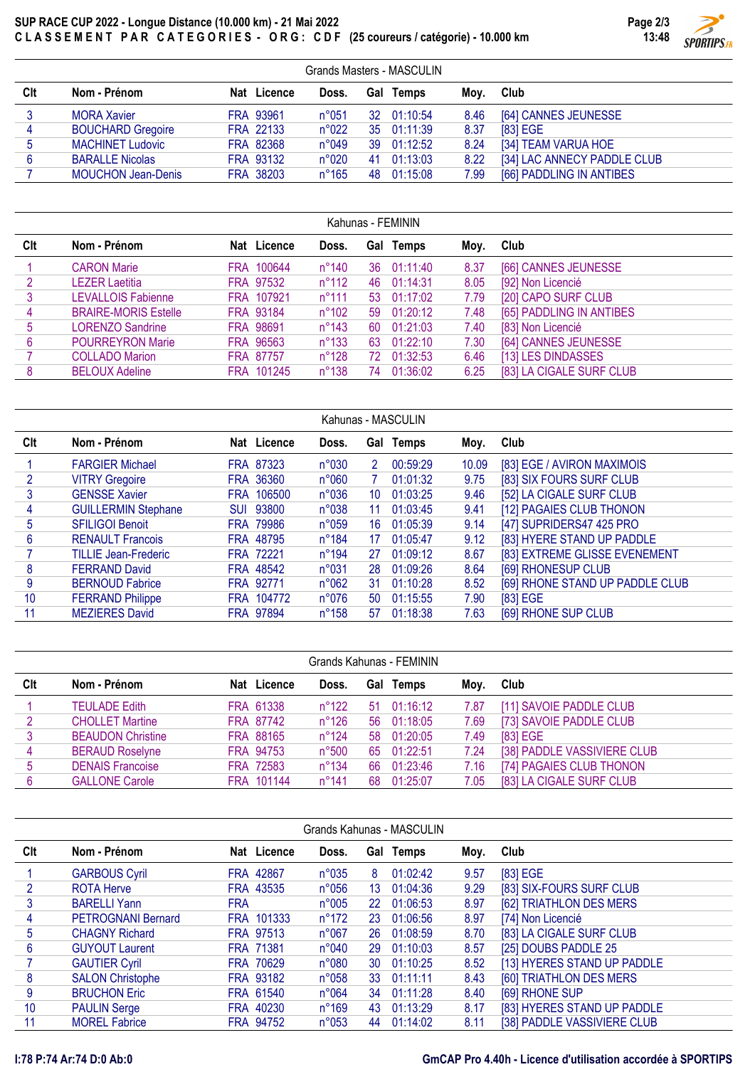## SUP RACE CUP 2022 - Longue Distance (10.000 km) - 21 Mai 2022 CLASSEMENT PAR CATEGORIES - ORG: CDF (25 coureurs / catégorie) - 10.000 km



|            | Grands Masters - MASCULIN |             |                |    |             |      |                             |  |  |  |  |  |
|------------|---------------------------|-------------|----------------|----|-------------|------|-----------------------------|--|--|--|--|--|
| <b>CIt</b> | Nom - Prénom              | Nat Licence | Doss.          |    | Gal Temps   | Mov. | Club                        |  |  |  |  |  |
|            | <b>MORA Xavier</b>        | FRA 93961   | $n^{\circ}051$ |    | 32 01:10:54 | 8.46 | [64] CANNES JEUNESSE        |  |  |  |  |  |
| 4          | <b>BOUCHARD Gregoire</b>  | FRA 22133   | $n^{\circ}022$ |    | 35 01:11:39 | 8.37 | [83] EGE                    |  |  |  |  |  |
| 5          | <b>MACHINET Ludovic</b>   | FRA 82368   | $n^{\circ}049$ |    | 39 01:12:52 | 8.24 | [34] TEAM VARUA HOE         |  |  |  |  |  |
| 6          | <b>BARALLE Nicolas</b>    | FRA 93132   | $n^{\circ}020$ | 41 | 01:13:03    | 8.22 | [34] LAC ANNECY PADDLE CLUB |  |  |  |  |  |
|            | <b>MOUCHON Jean-Denis</b> | FRA 38203   | $n^{\circ}165$ | 48 | 01:15:08    | 7.99 | [66] PADDLING IN ANTIBES    |  |  |  |  |  |
|            |                           |             |                |    |             |      |                             |  |  |  |  |  |

|     | Kahunas - FEMININ           |             |                |    |             |      |                          |  |  |  |  |  |
|-----|-----------------------------|-------------|----------------|----|-------------|------|--------------------------|--|--|--|--|--|
| Clt | Nom - Prénom                | Nat Licence | Doss.          |    | Gal Temps   | Moy. | Club                     |  |  |  |  |  |
|     | <b>CARON Marie</b>          | FRA 100644  | $n^{\circ}140$ |    | 36 01:11:40 | 8.37 | [66] CANNES JEUNESSE     |  |  |  |  |  |
|     | <b>LEZER Laetitia</b>       | FRA 97532   | $n^{\circ}112$ | 46 | 01:14:31    | 8.05 | [92] Non Licencié        |  |  |  |  |  |
| 3   | <b>LEVALLOIS Fabienne</b>   | FRA 107921  | $n^{\circ}111$ | 53 | 01:17:02    | 7.79 | [20] CAPO SURF CLUB      |  |  |  |  |  |
| 4   | <b>BRAIRE-MORIS Estelle</b> | FRA 93184   | $n^{\circ}102$ | 59 | 01:20:12    | 7.48 | [65] PADDLING IN ANTIBES |  |  |  |  |  |
| 5   | <b>LORENZO Sandrine</b>     | FRA 98691   | $n^{\circ}143$ | 60 | 01:21:03    | 7.40 | [83] Non Licencié        |  |  |  |  |  |
| 6   | <b>POURREYRON Marie</b>     | FRA 96563   | $n^{\circ}133$ | 63 | 01:22:10    | 7.30 | [64] CANNES JEUNESSE     |  |  |  |  |  |
|     | <b>COLLADO Marion</b>       | FRA 87757   | $n^{\circ}128$ | 72 | 01:32:53    | 6.46 | [13] LES DINDASSES       |  |  |  |  |  |
| 8   | <b>BELOUX Adeline</b>       | FRA 101245  | $n^{\circ}138$ | 74 | 01:36:02    | 6.25 | [83] LA CIGALE SURF CLUB |  |  |  |  |  |

|     | Kahunas - MASCULIN          |                  |             |                 |    |           |       |                                 |  |  |  |  |
|-----|-----------------------------|------------------|-------------|-----------------|----|-----------|-------|---------------------------------|--|--|--|--|
| Clt | Nom - Prénom                |                  | Nat Licence | Doss.           |    | Gal Temps | Moy.  | Club                            |  |  |  |  |
|     | <b>FARGIER Michael</b>      | FRA 87323        |             | n°030           | 2  | 00:59:29  | 10.09 | [83] EGE / AVIRON MAXIMOIS      |  |  |  |  |
|     | <b>VITRY Gregoire</b>       | FRA 36360        |             | n°060           |    | 01:01:32  | 9.75  | [83] SIX FOURS SURF CLUB        |  |  |  |  |
|     | <b>GENSSE Xavier</b>        | FRA 106500       |             | n°036           | 10 | 01:03:25  | 9.46  | [52] LA CIGALE SURF CLUB        |  |  |  |  |
| 4   | <b>GUILLERMIN Stephane</b>  | <b>SUI 93800</b> |             | n°038           | 11 | 01:03:45  | 9.41  | [12] PAGAIES CLUB THONON        |  |  |  |  |
| 5   | <b>SFILIGOI Benoit</b>      | <b>FRA 79986</b> |             | n°059           | 16 | 01:05:39  | 9.14  | [47] SUPRIDERS47 425 PRO        |  |  |  |  |
| 6   | <b>RENAULT Francois</b>     | FRA 48795        |             | $n^{\circ}184$  | 17 | 01:05:47  | 9.12  | [83] HYERE STAND UP PADDLE      |  |  |  |  |
|     | <b>TILLIE Jean-Frederic</b> | FRA 72221        |             | $n^{\circ}$ 194 | 27 | 01:09:12  | 8.67  | [83] EXTREME GLISSE EVENEMENT   |  |  |  |  |
| 8   | <b>FERRAND David</b>        | FRA 48542        |             | n°031           | 28 | 01:09:26  | 8.64  | [69] RHONESUP CLUB              |  |  |  |  |
| 9   | <b>BERNOUD Fabrice</b>      | FRA 92771        |             | $n^{\circ}062$  | 31 | 01:10:28  | 8.52  | [69] RHONE STAND UP PADDLE CLUB |  |  |  |  |
| 10  | <b>FERRAND Philippe</b>     | FRA 104772       |             | $n^{\circ}076$  | 50 | 01:15:55  | 7.90  | [83] EGE                        |  |  |  |  |
| 11  | <b>MEZIERES David</b>       | FRA 97894        |             | $n^{\circ}158$  | 57 | 01:18:38  | 7.63  | [69] RHONE SUP CLUB             |  |  |  |  |

| Grands Kahunas - FEMININ |                          |  |             |                |  |                     |      |                             |  |
|--------------------------|--------------------------|--|-------------|----------------|--|---------------------|------|-----------------------------|--|
| Clt                      | Nom - Prénom             |  | Nat Licence | Doss.          |  | Gal Temps           | Mov. | Club                        |  |
|                          | <b>TEULADE Edith</b>     |  | FRA 61338   | $n^{\circ}122$ |  | $51 \quad 01:16:12$ | 7.87 | [11] SAVOIE PADDLE CLUB     |  |
|                          | <b>CHOLLET Martine</b>   |  | FRA 87742   | $n^{\circ}126$ |  | 56 01:18:05         | 7.69 | [73] SAVOIE PADDLE CLUB     |  |
|                          | <b>BEAUDON Christine</b> |  | FRA 88165   | $n^{\circ}124$ |  | 58 01:20:05         | 7.49 | [83] EGE                    |  |
| 4                        | <b>BERAUD Roselyne</b>   |  | FRA 94753   | $n^{\circ}500$ |  | 65 01:22:51         | 7.24 | [38] PADDLE VASSIVIERE CLUB |  |
| 5                        | <b>DENAIS Francoise</b>  |  | FRA 72583   | $n^{\circ}134$ |  | 66 01:23:46         | 7.16 | [74] PAGAIES CLUB THONON    |  |
|                          | <b>GALLONE Carole</b>    |  | FRA 101144  | $n^{\circ}141$ |  | 68 01:25:07         | 7.05 | [83] LA CIGALE SURF CLUB    |  |

| Grands Kahunas - MASCULIN |                           |            |                  |                |    |           |      |                             |  |  |
|---------------------------|---------------------------|------------|------------------|----------------|----|-----------|------|-----------------------------|--|--|
| Clt                       | Nom - Prénom              |            | Nat Licence      | Doss.          |    | Gal Temps | Moy. | Club                        |  |  |
|                           | <b>GARBOUS Cyril</b>      |            | FRA 42867        | $n^{\circ}035$ | 8  | 01:02:42  | 9.57 | [83] EGE                    |  |  |
| 2                         | <b>ROTA Herve</b>         |            | FRA 43535        | $n^{\circ}056$ | 13 | 01:04:36  | 9.29 | [83] SIX-FOURS SURF CLUB    |  |  |
| 3                         | <b>BARELLI Yann</b>       | <b>FRA</b> |                  | n°005          | 22 | 01:06:53  | 8.97 | [62] TRIATHLON DES MERS     |  |  |
| 4                         | <b>PETROGNANI Bernard</b> |            | FRA 101333       | $n^{\circ}172$ | 23 | 01:06:56  | 8.97 | [74] Non Licencié           |  |  |
| 5                         | <b>CHAGNY Richard</b>     |            | <b>FRA 97513</b> | $n^{\circ}067$ | 26 | 01:08:59  | 8.70 | [83] LA CIGALE SURF CLUB    |  |  |
| 6                         | <b>GUYOUT Laurent</b>     |            | FRA 71381        | n°040          | 29 | 01:10:03  | 8.57 | [25] DOUBS PADDLE 25        |  |  |
|                           | <b>GAUTIER Cyril</b>      |            | FRA 70629        | n°080          | 30 | 01:10:25  | 8.52 | [13] HYERES STAND UP PADDLE |  |  |
| 8                         | <b>SALON Christophe</b>   |            | FRA 93182        | n°058          | 33 | 01:11:11  | 8.43 | [60] TRIATHLON DES MERS     |  |  |
| 9                         | <b>BRUCHON Eric</b>       |            | FRA 61540        | $n^{\circ}064$ | 34 | 01:11:28  | 8.40 | [69] RHONE SUP              |  |  |
| 10                        | <b>PAULIN Serge</b>       |            | FRA 40230        | $n^{\circ}169$ | 43 | 01:13:29  | 8.17 | [83] HYERES STAND UP PADDLE |  |  |
| 11                        | <b>MOREL Fabrice</b>      |            | FRA 94752        | n°053          | 44 | 01:14:02  | 8.11 | [38] PADDLE VASSIVIERE CLUB |  |  |